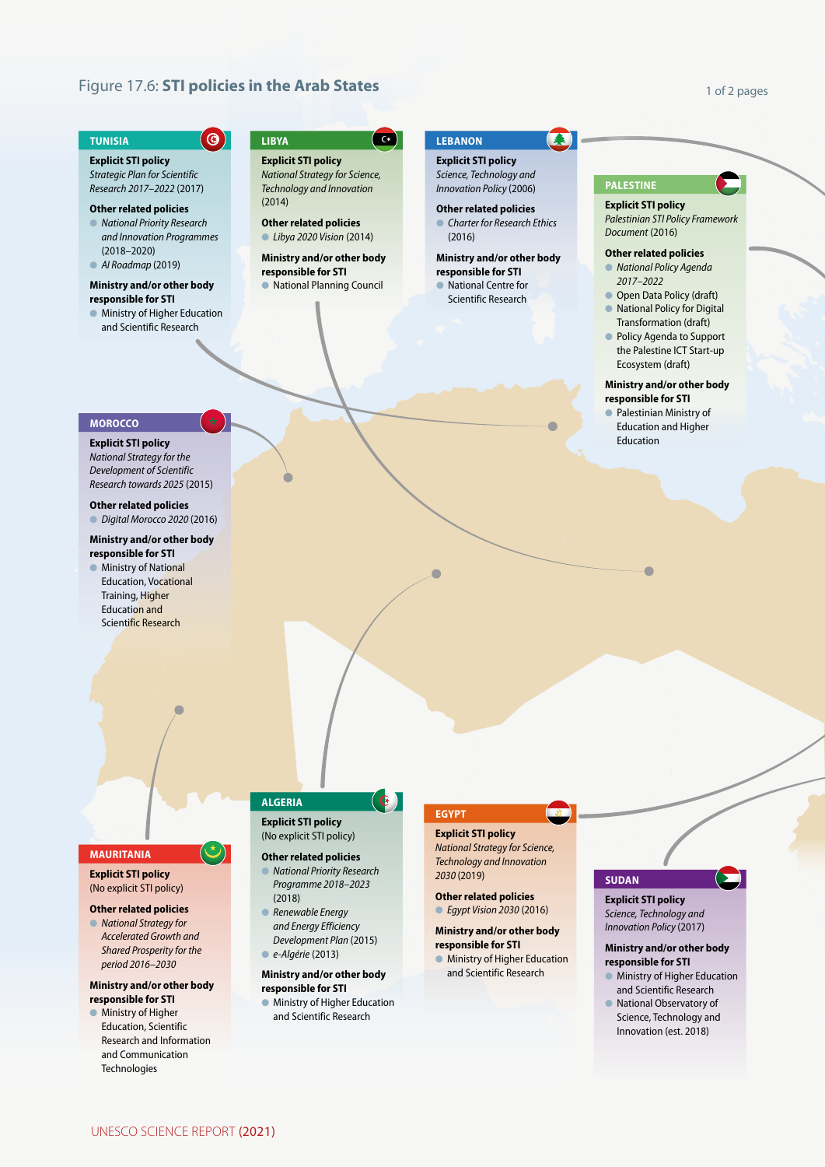# **Figure 17.6: STI policies in the Arab States**

 $\odot$ 

### 1 of 2 pages

#### **TUNISIA**

# **Explicit STI policy**

*Strategic Plan for Scientific Research 2017–2022* (2017)

# **Other related policies**

l *National Priority Research and Innovation Programmes*  (2018–2020) l *AI Roadmap* (2019)

# **Ministry and/or other body**

# **responsible for STI**

l Ministry of Higher Education and Scientific Research

# **LIBYA**

 $\alpha$ 

**Explicit STI policy** *National Strategy for Science, Technology and Innovation*  (2014)

# **Other related policies** l *Libya 2020 Vision* (2014)

**Ministry and/or other body responsible for STI**

**• National Planning Council** 

# **LEBANON**

 $\blacklozenge$ 

**Explicit STI policy**

*Science, Technology and Innovation Policy* (2006)

**Other related policies Charter for Research Ethics** 

# (2016) **Ministry and/or other body responsible for STI**

**National Centre for** Scientific Research

## **PALESTINE**

# **Explicit STI policy** *Palestinian STI Policy Framework Document* (2016)

# **Other related policies**

l *National Policy Agenda 2017–2022*

**Open Data Policy (draft) • National Policy for Digital** 

- Transformation (draft) **• Policy Agenda to Support**
- the Palestine ICT Start-up Ecosystem (draft)

# **Ministry and/or other body responsible for STI**

Palestinian Ministry of Education and Higher Education

# **MOROCCO**

**Explicit STI policy** *National Strategy for the Development of Scientific* 

# *Research towards 2025* (2015)

**Other related policies** l *Digital Morocco 2020* (2016)

# **Ministry and/or other body responsible for STI**

**Industry of National** Education, Vocational Training, Higher Education and Scientific Research

# **MAURITANIA**

**Explicit STI policy** (No explicit STI policy)

## **Other related policies**

**• National Strategy for** *Accelerated Growth and Shared Prosperity for the period 2016–2030*

## **Ministry and/or other body responsible for STI**

 $\bullet$  Ministry of Higher Education, Scientific Research and Information and Communication **Technologies** 

# **ALGERIA**

## **Explicit STI policy** (No explicit STI policy)

# **Other related policies**

l *National Priority Research Programme 2018–2023*  (2018)

 $\left( \mathbf{G} \right)$ 

- l *Renewable Energy and Energy Efficiency Development Plan* (2015)
- l *e-Algérie* (2013)

#### **Ministry and/or other body responsible for STI**

**• Ministry of Higher Education** and Scientific Research

# **EGYPT**

# **Explicit STI policy** *National Strategy for Science, Technology and Innovation*

*2030* (2019) **Other related policies**

# l *Egypt Vision 2030* (2016)

# **Ministry and/or other body responsible for STI • Ministry of Higher Education**

and Scientific Research

# **SUDAN**

# **Explicit STI policy** *Science, Technology and Innovation Policy* (2017)

#### **Ministry and/or other body responsible for STI**

Ы

- **Ministry of Higher Education** and Scientific Research
- **In National Observatory of** Science, Technology and Innovation (est. 2018)